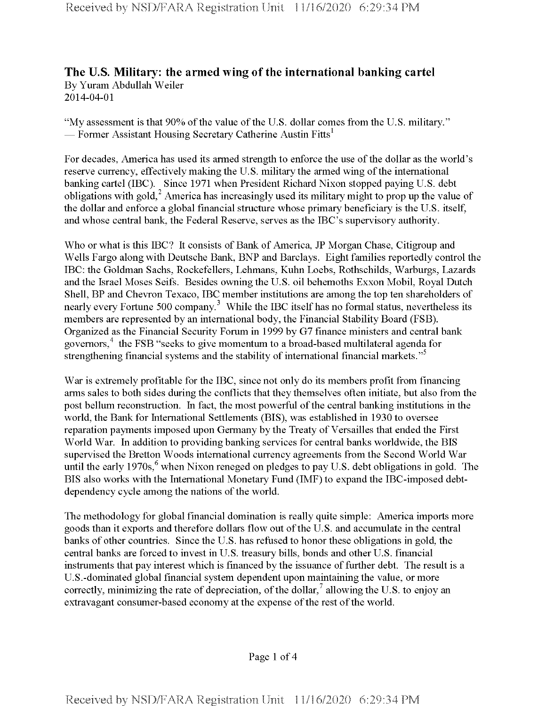## **The U.S. Military: the armed wing ofthe international banking cartel** By Yuram Abdullah Weiler 2014-04-01

"My assessment is that 90% of the value of the U.S. dollar comes from the U.S. military." — Former Assistant Housing Secretary Catherine Austin Fitts<sup>1</sup>

For decades, America has used its armed strength to enforce the use of the dollar as the world's reserve currency, effectively making the U.S. military the armed wing of the international banking cartel (IBC). Since 1971 when President Richard Nixon stopped paying U.S. debt obligations with gold,<sup>2</sup> America has increasingly used its military might to prop up the value of the dollar and enforce a global financial structure whose primary beneficiary is the U.S. itself, and whose central bank, the Federal Reserve, serves as the IBC's supervisory authority.

Who or what is this IBC? It consists of Bank of America, JP Morgan Chase, Citigroup and Wells Fargo along with Deutsche Bank, BNP and Barclays. Eight families reportedly control the IBC: the Goldman Sachs, Rockefellers, Lehmans, Kuhn Loebs, Rothschilds, Warburgs, Lazards and the Israel Moses Seifs. Besides owning the U.S. oil behemoths Exxon Mobil, Royal Dutch Shell, BP and Chevron Texaco, IBC member institutions are among the top ten shareholders of nearly every Fortune 500 company.<sup>3</sup> While the IBC itself has no formal status, nevertheless its members are represented by an international body, the Financial Stability Board (FSB). Organized as the Financial Security Forum in 1999 by G7 finance ministers and central bank governors,  $4$  the FSB "seeks to give momentum to a broad-based multilateral agenda for strengthening financial systems and the stability of international financial markets."<sup>5</sup>

War is extremely profitable for the IBC, since not only do its members profit from financing arms sales to both sides during the conflicts that they themselves often initiate, but also from the post bellum reconstruction. In fact, the most powerful of the central banking institutions in the world, the Bank for International Settlements (BIS), was established in 1930 to oversee reparation payments imposed upon Germany by the Treaty of Versailles that ended the First World War. In addition to providing banking services for central banks worldwide, the BIS supervised the Bretton Woods international currency agreements from the Second World War until the early 1970s,<sup>6</sup> when Nixon reneged on pledges to pay U.S. debt obligations in gold. The BIS also works with the International Monetary Fund (IMF) to expand the IBC-imposed debtdependency cycle among the nations of the world.

The methodology for global financial domination is really quite simple: America imports more goods than it exports and therefore dollars flow out of the U.S. and accumulate in the central banks of other countries. Since the U.S. has refused to honor these obligations in gold, the central banks are forced to invest in U.S. treasury bills, bonds and other U.S. financial instruments that pay interest which is financed by the issuance of further debt. The result is a U.S.-dominated global financial system dependent upon maintaining the value, or more correctly, minimizing the rate of depreciation, of the dollar,  $\alpha$  allowing the U.S. to enjoy an extravagant consumer-based economy at the expense of the rest of the world.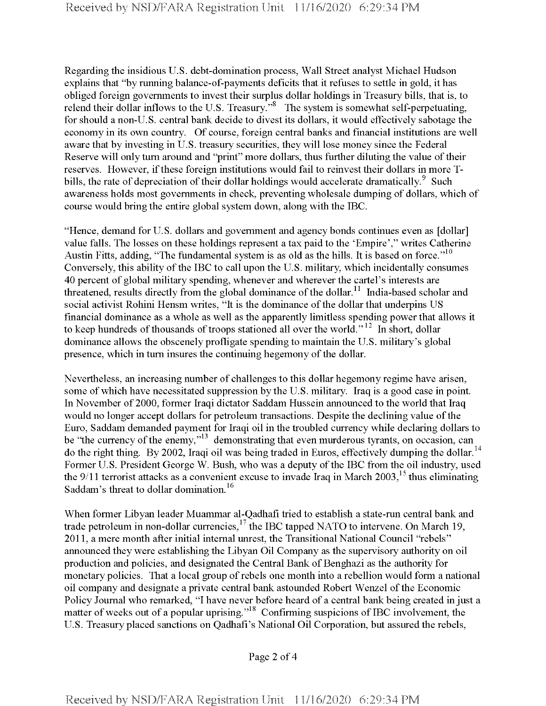Regarding the insidious U.S. debt-domination process, Wall Street analyst Michael Hudson explains that "by running balance-of-payments deficits that it refuses to settle in gold, it has obliged foreign governments to invest their surplus dollar holdings in Treasury bills, that is, to relend their dollar inflows to the U.S. Treasury."<sup>8</sup> The system is somewhat self-perpetuating, for should a non-U. S. central bank decide to divest its dollars, it would effectively sabotage the economy in its own country. Of course, foreign central banks and financial institutions are well aware that by investing in U.S. treasury securities, they will lose money since the Federal Reserve will only turn around and "print" more dollars, thus further diluting the value of their reserves. However, if these foreign institutions would fail to reinvest their dollars in more Tbills, the rate of depreciation of their dollar holdings would accelerate dramatically.<sup>9</sup> Such awareness holds most governments in check, preventing wholesale dumping of dollars, which of course would bring the entire global system down, along with the IBC.

"Hence, demand for U.S. dollars and government and agency bonds continues even as [dollar] value falls. The losses on these holdings represent a tax paid to the 'Empire'," writes Catherine Austin Fitts, adding, "The fundamental system is as old as the hills. It is based on force."<sup>10</sup> Conversely, this ability of the IBC to call upon the U.S. military, which incidentally consumes 40 percent of global military spending, whenever and wherever the cartel's interests are threatened, results directly from the global dominance of the dollar.<sup>11</sup> India-based scholar and social activist Rohini Hensm writes, "It is the dominance of the dollar that underpins US financial dominance as a whole as well as the apparently limitless spending power that allows it to keep hundreds of thousands of troops stationed all over the world."<sup>12</sup> In short, dollar dominance allows the obscenely profligate spending to maintain the U.S. military's global presence, which in turn insures the continuing hegemony of the dollar.

Nevertheless, an increasing number of challenges to this dollar hegemony regime have arisen, some of which have necessitated suppression by the U.S. military. Iraq is a good case in point. In November of 2000, former Iraqi dictator Saddam Hussein announced to the world that Iraq would no longer accept dollars for petroleum transactions. Despite the declining value of the Euro, Saddam demanded payment for Iraqi oil in the troubled currency while declaring dollars to be "the currency of the enemy,"<sup>13</sup> demonstrating that even murderous tyrants, on occasion, can do the right thing. By 2002, Iraqi oil was being traded in Euros, effectively dumping the dollar.<sup>14</sup> Former U.S. President George W. Bush, who was a deputy of the IBC from the oil industry, used the  $9/11$  terrorist attacks as a convenient excuse to invade Iraq in March 2003,<sup>15</sup> thus eliminating Saddam's threat to dollar domination.<sup>16</sup>

When former Libyan leader Muammar al-Qadhafi tried to establish a state-run central bank and trade petroleum in non-dollar currencies,  $17$  the IBC tapped NATO to intervene. On March 19, 2011, a mere month after initial internal unrest, the Transitional National Council "rebels" announced they were establishing the Libyan Oil Company as the supervisory authority on oil production and policies, and designated the Central Bank of Benghazi as the authority for monetary policies. That a local group of rebels one month into a rebellion would form a national oil company and designate a private central bank astounded Robert Wenzel ofthe Economic Policy Journal who remarked, "I have never before heard of a central bank being created in just a matter of weeks out of a popular uprising."<sup>18</sup> Confirming suspicions of IBC involvement, the U.S. Treasury placed sanctions on Qadhafi's National Oil Corporation, but assured the rebels,

Page 2 of 4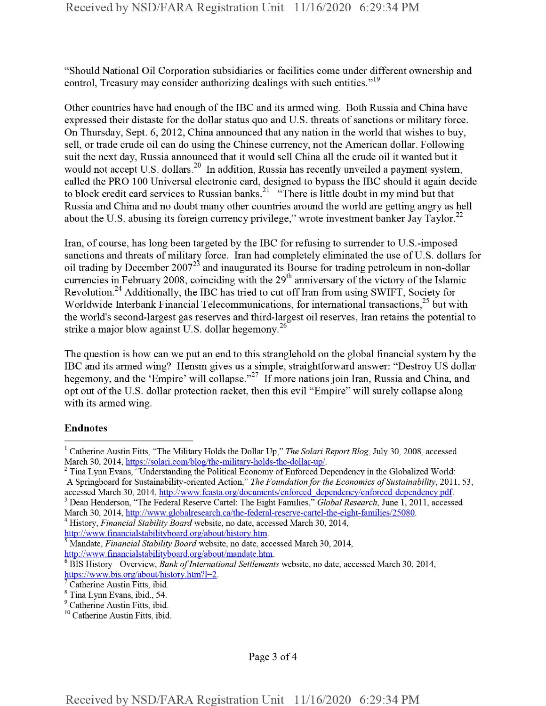"Should National Oil Corporation subsidiaries or facilities come under different ownership and control, Treasury may consider authorizing dealings with such entities."<sup>19</sup>

Other countries have had enough ofthe IBC and its armed wing. Both Russia and China have expressed their distaste for the dollar status quo and U.S. threats of sanctions or military force. On Thursday, Sept. 6, 2012, China announced that any nation in the world that wishes to buy, sell, or trade crude oil can do using the Chinese currency, not the American dollar. Following suit the next day, Russia announced that it would sell China all the crude oil it wanted but it would not accept U.S. dollars.<sup>20</sup> In addition, Russia has recently unveiled a payment system, called the PRO 100 Universal electronic card, designed to bypass the IBC should it again decide to block credit card services to Russian banks.<sup>21</sup> "There is little doubt in my mind but that Russia and China and no doubt many other countries around the world are getting angry as hell about the U.S. abusing its foreign currency privilege," wrote investment banker Jay Taylor.<sup>22</sup>

Iran, of course, has long been targeted by the IBC for refusing to surrender to U.S.-imposed sanctions and threats of military force. Iran had completely eliminated the use of U.S. dollars for oil trading by December 2007<sup>23</sup> and inaugurated its Bourse for trading petroleum in non-dollar currencies in February 2008, coinciding with the  $29<sup>th</sup>$  anniversary of the victory of the Islamic Revolution.<sup>24</sup> Additionally, the IBC has tried to cut off Iran from using SWIFT, Society for Worldwide Interbank Financial Telecommunications, for international transactions,<sup>25</sup> but with the world's second-largest gas reserves and third-largest oil reserves, Iran retains the potential to strike a major blow against U.S. dollar hegemony.<sup>26</sup>

The question is how can we put an end to this stranglehold on the global financial system by the IBC and its armed wing? Hensm gives us a simple, straightforward answer: "Destroy US dollar hegemony, and the 'Empire' will collapse."<sup>27</sup> If more nations join Iran, Russia and China, and opt out of the U.S. dollar protection racket, then this evil "Empire" will surely collapse along with its armed wing.

## Endnotes

Page 3 of 4

<sup>1</sup> Catherine Austin Fitts, "The Military Holds the Dollar Up," *The SoJari Report Blog,* July 30, 2008, accessed March 30, 2014, https://solari.com/hlog/the-militarv-holds-the-dollar-up/.

<sup>&</sup>lt;sup>2</sup> Tina Lynn Evans, "Understanding the Political Economy of Enforced Dependency in the Globalized World: A Springboard for Sustainability-oriented Action," *The Foundationfor the Economics ofSustainability,* 2011, 53, accessed March 30, 2014, http://www.feasta.org/documents/enforced dependency/enforced-dependency.pdf.

<sup>3</sup> Dean Henderson, "The Federal Reserve Cartel: The Eight Families," *Global Research,* June 1, 2011, accessed March 30, 2014, http://www.globalresearch.ca/the-federal-reserve-cartel-the-eight-families/25080.

<sup>4</sup> History, *Financial Stability Board* website, no date, accessed March 30, 2014,

http://www.financialstabilityboard.org/about/history.htm.

<sup>5</sup> Mandate, *Financial Stability Board* website, no date, accessed March 30, 2014, http://www.fmancialstabilitvboard.org/about/mandate.htm.

<sup>6</sup> BIS History - Overview, *Bank ofInternational Settlements* website, no date, accessed March 30, 2014, https://www.bis.org/about/history.htm?l=2.

Catherine Austin Fitts, ibid.

<sup>8</sup> Tina Lynn Evans, ibid., 54.

<sup>&</sup>lt;sup>9</sup> Catherine Austin Fitts, ibid.

<sup>10</sup> Catherine Austin Fitts, ibid.